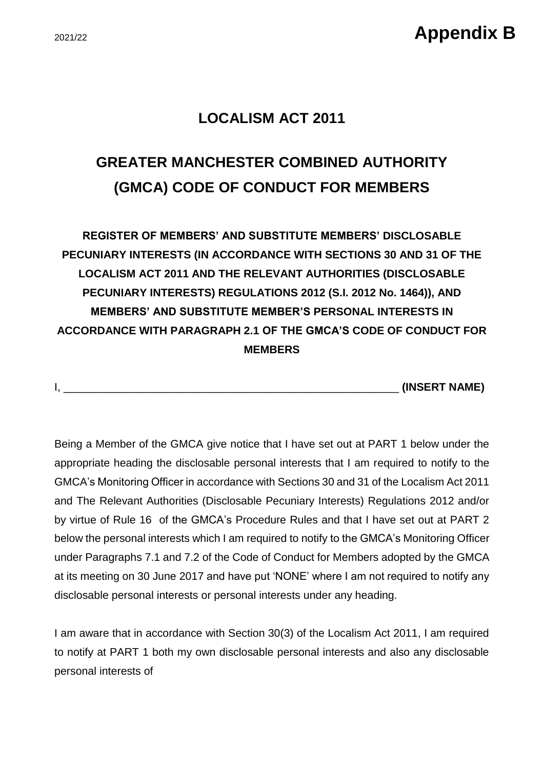### **LOCALISM ACT 2011**

# **GREATER MANCHESTER COMBINED AUTHORITY (GMCA) CODE OF CONDUCT FOR MEMBERS**

**REGISTER OF MEMBERS' AND SUBSTITUTE MEMBERS' DISCLOSABLE PECUNIARY INTERESTS (IN ACCORDANCE WITH SECTIONS 30 AND 31 OF THE LOCALISM ACT 2011 AND THE RELEVANT AUTHORITIES (DISCLOSABLE PECUNIARY INTERESTS) REGULATIONS 2012 (S.I. 2012 No. 1464)), AND MEMBERS' AND SUBSTITUTE MEMBER'S PERSONAL INTERESTS IN ACCORDANCE WITH PARAGRAPH 2.1 OF THE GMCA'S CODE OF CONDUCT FOR MEMBERS** 

I, \_\_\_\_\_\_\_\_\_\_\_\_\_\_\_\_\_\_\_\_\_\_\_\_\_\_\_\_\_\_\_\_\_\_\_\_\_\_\_\_\_\_\_\_\_\_\_\_\_\_\_\_\_\_\_ **(INSERT NAME)**

Being a Member of the GMCA give notice that I have set out at PART 1 below under the appropriate heading the disclosable personal interests that I am required to notify to the GMCA's Monitoring Officer in accordance with Sections 30 and 31 of the Localism Act 2011 and The Relevant Authorities (Disclosable Pecuniary Interests) Regulations 2012 and/or by virtue of Rule 16 of the GMCA's Procedure Rules and that I have set out at PART 2 below the personal interests which I am required to notify to the GMCA's Monitoring Officer under Paragraphs 7.1 and 7.2 of the Code of Conduct for Members adopted by the GMCA at its meeting on 30 June 2017 and have put 'NONE' where I am not required to notify any disclosable personal interests or personal interests under any heading.

I am aware that in accordance with Section 30(3) of the Localism Act 2011, I am required to notify at PART 1 both my own disclosable personal interests and also any disclosable personal interests of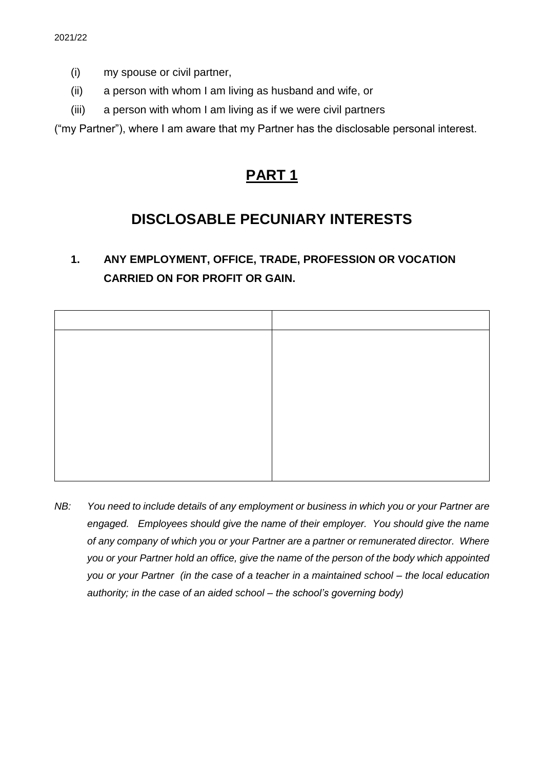- (i) my spouse or civil partner,
- (ii) a person with whom I am living as husband and wife, or
- (iii) a person with whom I am living as if we were civil partners

("my Partner"), where I am aware that my Partner has the disclosable personal interest.

# **PART 1**

# **DISCLOSABLE PECUNIARY INTERESTS**

## **1. ANY EMPLOYMENT, OFFICE, TRADE, PROFESSION OR VOCATION CARRIED ON FOR PROFIT OR GAIN.**

*NB: You need to include details of any employment or business in which you or your Partner are engaged. Employees should give the name of their employer. You should give the name of any company of which you or your Partner are a partner or remunerated director. Where you or your Partner hold an office, give the name of the person of the body which appointed you or your Partner (in the case of a teacher in a maintained school – the local education authority; in the case of an aided school – the school's governing body)*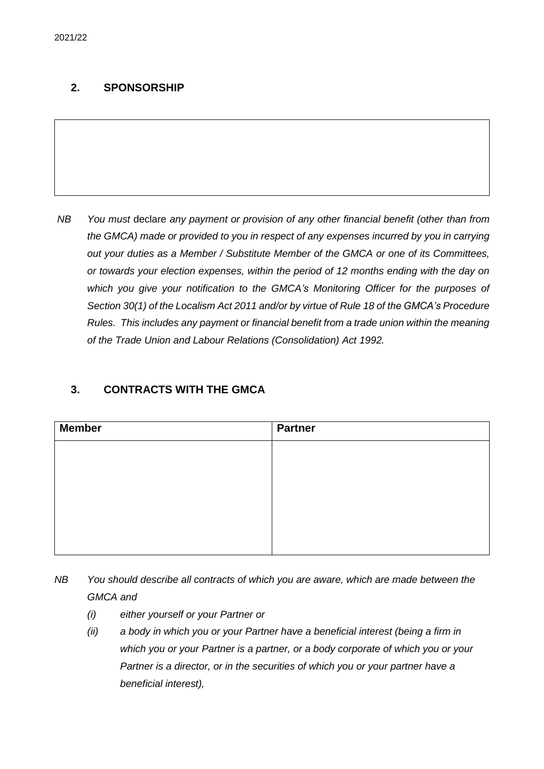#### **2. SPONSORSHIP**

*NB You must* declare *any payment or provision of any other financial benefit (other than from the GMCA) made or provided to you in respect of any expenses incurred by you in carrying out your duties as a Member / Substitute Member of the GMCA or one of its Committees, or towards your election expenses, within the period of 12 months ending with the day on which you give your notification to the GMCA's Monitoring Officer for the purposes of Section 30(1) of the Localism Act 2011 and/or by virtue of Rule 18 of the GMCA's Procedure Rules. This includes any payment or financial benefit from a trade union within the meaning of the Trade Union and Labour Relations (Consolidation) Act 1992.* 

#### **3. CONTRACTS WITH THE GMCA**

| <b>Member</b> | <b>Partner</b> |
|---------------|----------------|
|               |                |
|               |                |
|               |                |
|               |                |
|               |                |
|               |                |

- *NB You should describe all contracts of which you are aware, which are made between the GMCA and* 
	- *(i) either yourself or your Partner or*
	- *(ii) a body in which you or your Partner have a beneficial interest (being a firm in which you or your Partner is a partner, or a body corporate of which you or your Partner is a director, or in the securities of which you or your partner have a beneficial interest),*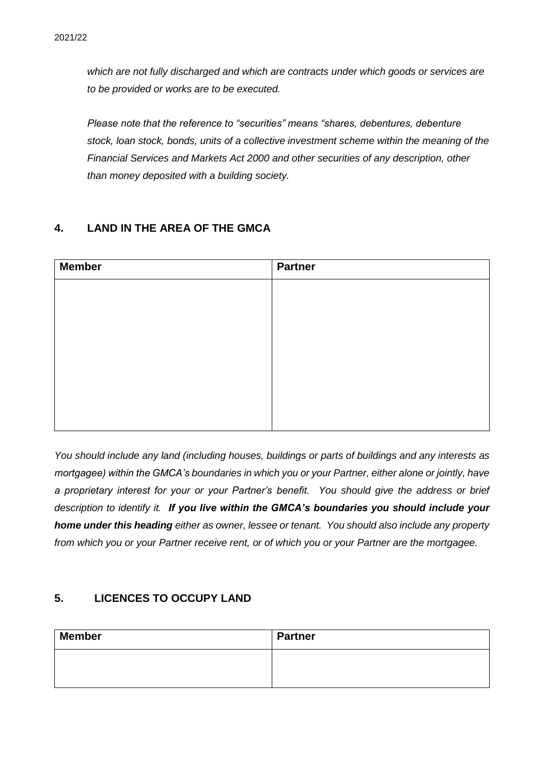*which are not fully discharged and which are contracts under which goods or services are to be provided or works are to be executed.*

*Please note that the reference to "securities" means "shares, debentures, debenture stock, loan stock, bonds, units of a collective investment scheme within the meaning of the Financial Services and Markets Act 2000 and other securities of any description, other than money deposited with a building society.*

#### **4. LAND IN THE AREA OF THE GMCA**

| <b>Member</b> | <b>Partner</b> |
|---------------|----------------|
|               |                |
|               |                |
|               |                |
|               |                |
|               |                |
|               |                |
|               |                |
|               |                |

*You should include any land (including houses, buildings or parts of buildings and any interests as mortgagee) within the GMCA's boundaries in which you or your Partner, either alone or jointly, have a proprietary interest for your or your Partner's benefit. You should give the address or brief description to identify it. If you live within the GMCA's boundaries you should include your home under this heading either as owner, lessee or tenant. You should also include any property from which you or your Partner receive rent, or of which you or your Partner are the mortgagee.*

#### **5. LICENCES TO OCCUPY LAND**

| <b>Member</b> | <b>Partner</b> |
|---------------|----------------|
|               |                |
|               |                |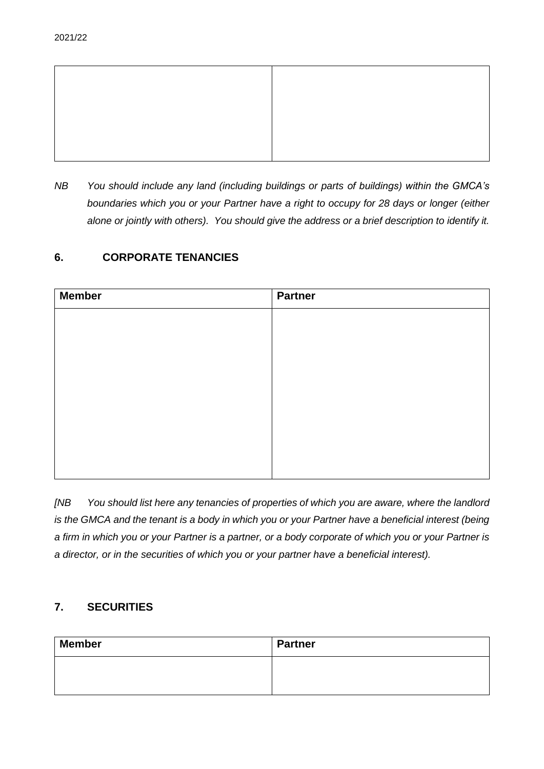

*NB You should include any land (including buildings or parts of buildings) within the GMCA's boundaries which you or your Partner have a right to occupy for 28 days or longer (either alone or jointly with others). You should give the address or a brief description to identify it.*

#### **6. CORPORATE TENANCIES**

| <b>Member</b> | <b>Partner</b> |
|---------------|----------------|
|               |                |
|               |                |
|               |                |
|               |                |
|               |                |
|               |                |
|               |                |
|               |                |
|               |                |

*[NB You should list here any tenancies of properties of which you are aware, where the landlord is the GMCA and the tenant is a body in which you or your Partner have a beneficial interest (being a firm in which you or your Partner is a partner, or a body corporate of which you or your Partner is a director, or in the securities of which you or your partner have a beneficial interest).* 

#### **7. SECURITIES**

| <b>Member</b> | <b>Partner</b> |
|---------------|----------------|
|               |                |
|               |                |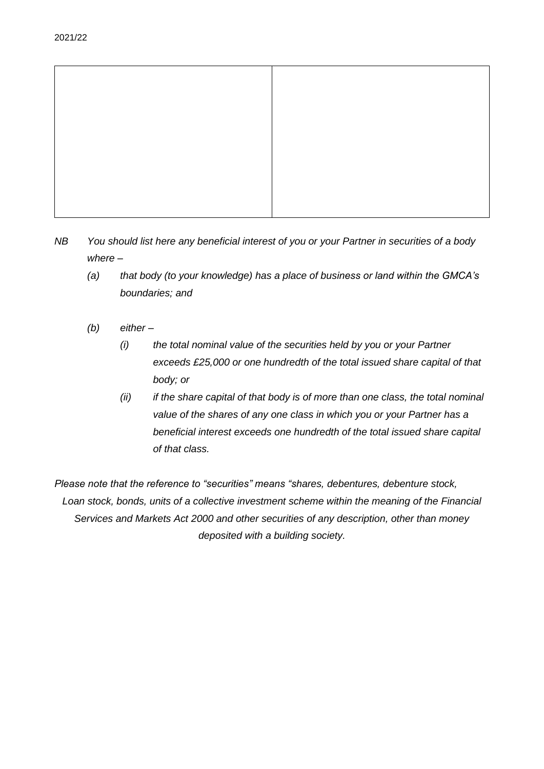

- *NB You should list here any beneficial interest of you or your Partner in securities of a body where –*
	- *(a) that body (to your knowledge) has a place of business or land within the GMCA's boundaries; and*
	- *(b) either –*
		- *(i) the total nominal value of the securities held by you or your Partner exceeds £25,000 or one hundredth of the total issued share capital of that body; or*
		- *(ii) if the share capital of that body is of more than one class, the total nominal value of the shares of any one class in which you or your Partner has a beneficial interest exceeds one hundredth of the total issued share capital of that class.*

*Please note that the reference to "securities" means "shares, debentures, debenture stock, Loan stock, bonds, units of a collective investment scheme within the meaning of the Financial Services and Markets Act 2000 and other securities of any description, other than money deposited with a building society.*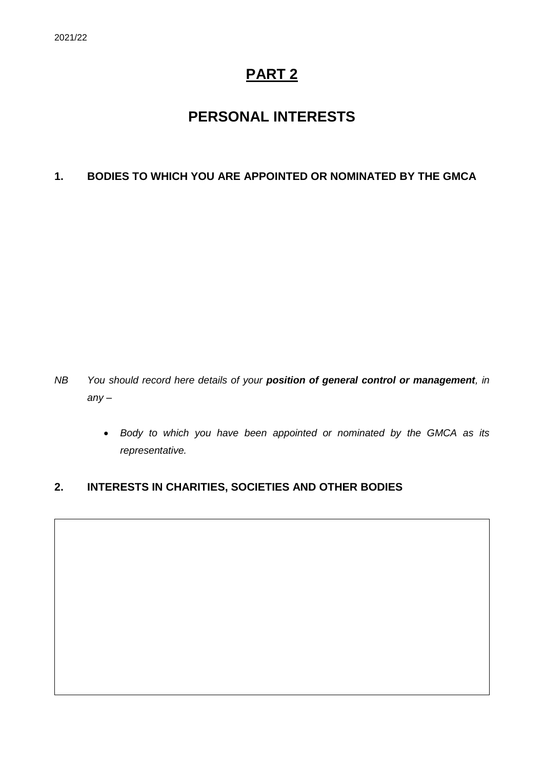# **PART 2**

# **PERSONAL INTERESTS**

#### **1. BODIES TO WHICH YOU ARE APPOINTED OR NOMINATED BY THE GMCA**

- *NB You should record here details of your position of general control or management, in any –*
	- *Body to which you have been appointed or nominated by the GMCA as its representative.*

### **2. INTERESTS IN CHARITIES, SOCIETIES AND OTHER BODIES**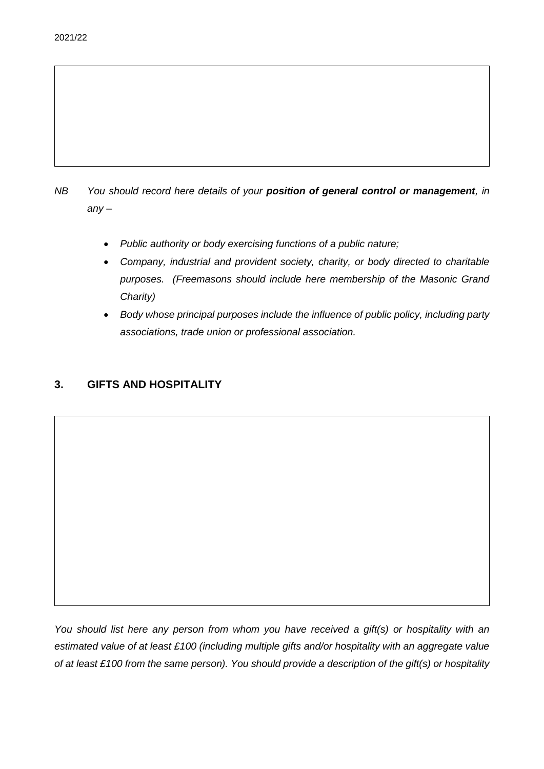### *NB You should record here details of your position of general control or management, in any –*

- *Public authority or body exercising functions of a public nature;*
- *Company, industrial and provident society, charity, or body directed to charitable purposes. (Freemasons should include here membership of the Masonic Grand Charity)*
- *Body whose principal purposes include the influence of public policy, including party associations, trade union or professional association.*

#### **3. GIFTS AND HOSPITALITY**

*You should list here any person from whom you have received a gift(s) or hospitality with an estimated value of at least £100 (including multiple gifts and/or hospitality with an aggregate value of at least £100 from the same person). You should provide a description of the gift(s) or hospitality*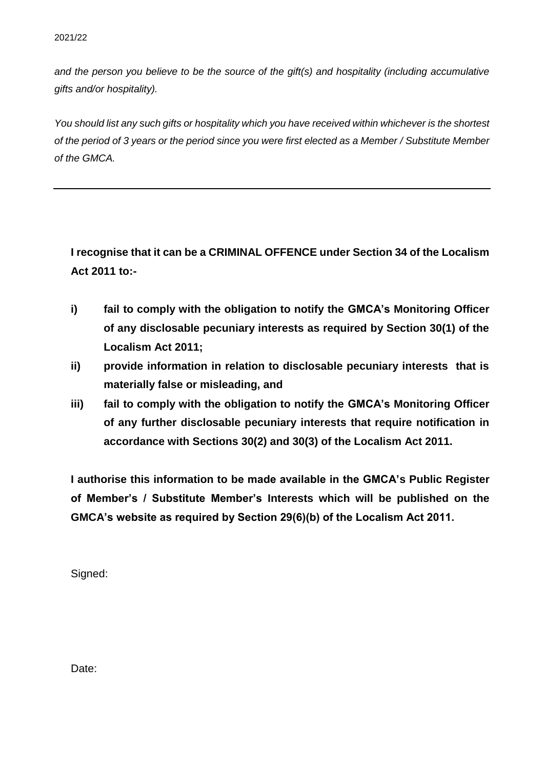*and the person you believe to be the source of the gift(s) and hospitality (including accumulative gifts and/or hospitality).*

*You should list any such gifts or hospitality which you have received within whichever is the shortest of the period of 3 years or the period since you were first elected as a Member / Substitute Member of the GMCA.*

**I recognise that it can be a CRIMINAL OFFENCE under Section 34 of the Localism Act 2011 to:-**

- **i) fail to comply with the obligation to notify the GMCA's Monitoring Officer of any disclosable pecuniary interests as required by Section 30(1) of the Localism Act 2011;**
- **ii) provide information in relation to disclosable pecuniary interests that is materially false or misleading, and**
- **iii) fail to comply with the obligation to notify the GMCA's Monitoring Officer of any further disclosable pecuniary interests that require notification in accordance with Sections 30(2) and 30(3) of the Localism Act 2011.**

**I authorise this information to be made available in the GMCA's Public Register of Member's / Substitute Member's Interests which will be published on the GMCA's website as required by Section 29(6)(b) of the Localism Act 2011.** 

Signed:

Date: